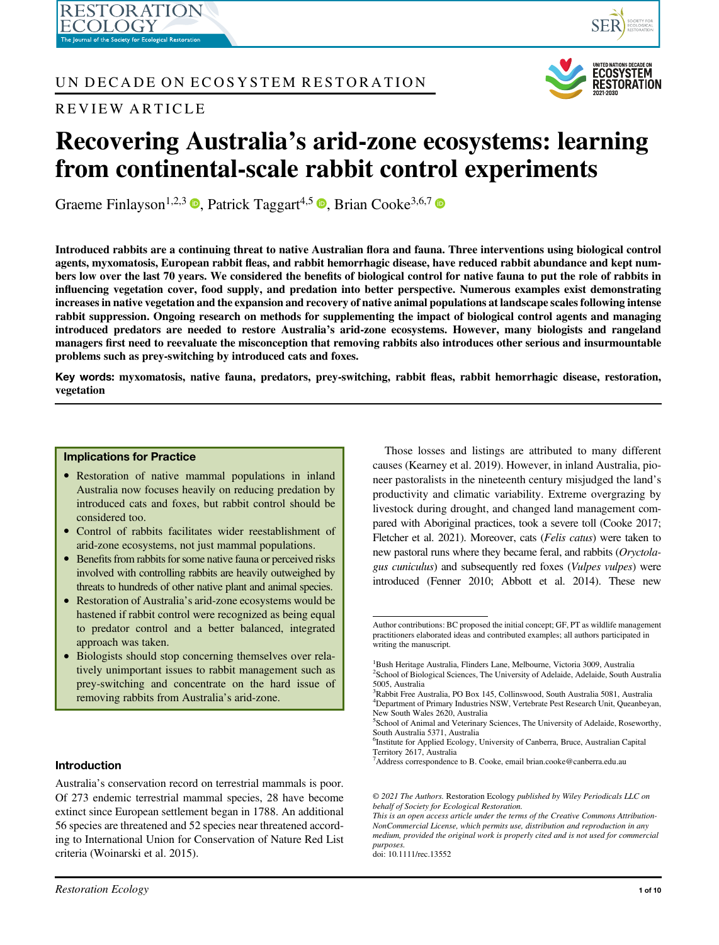# UN DECADE ON ECOSYSTEM RESTORATION

# REVIEW ARTICLE





# Recovering Australia's arid-zone ecosystems: learning from continental-scale rabbit control experiments

Graeme Finlayson<sup>1[,](https://orcid.org/0000-0001-9523-0463)2,3</sup> **D**. Patrick Taggart<sup>4,5</sup> **D**. Brian Cooke<sup>3,6,7</sup> **D** 

Introduced rabbits are a continuing threat to native Australian flora and fauna. Three interventions using biological control agents, myxomatosis, European rabbit fleas, and rabbit hemorrhagic disease, have reduced rabbit abundance and kept numbers low over the last 70 years. We considered the benefits of biological control for native fauna to put the role of rabbits in influencing vegetation cover, food supply, and predation into better perspective. Numerous examples exist demonstrating increases in native vegetation and the expansion and recovery of native animal populations at landscape scales following intense rabbit suppression. Ongoing research on methods for supplementing the impact of biological control agents and managing introduced predators are needed to restore Australia's arid-zone ecosystems. However, many biologists and rangeland managers first need to reevaluate the misconception that removing rabbits also introduces other serious and insurmountable problems such as prey-switching by introduced cats and foxes.

Key words: myxomatosis, native fauna, predators, prey-switching, rabbit fleas, rabbit hemorrhagic disease, restoration, vegetation

#### Implications for Practice

- Restoration of native mammal populations in inland Australia now focuses heavily on reducing predation by introduced cats and foxes, but rabbit control should be considered too.
- Control of rabbits facilitates wider reestablishment of arid-zone ecosystems, not just mammal populations.
- Benefits from rabbits for some native fauna or perceived risks involved with controlling rabbits are heavily outweighed by threats to hundreds of other native plant and animal species.
- Restoration of Australia's arid-zone ecosystems would be hastened if rabbit control were recognized as being equal to predator control and a better balanced, integrated approach was taken.
- Biologists should stop concerning themselves over relatively unimportant issues to rabbit management such as prey-switching and concentrate on the hard issue of removing rabbits from Australia's arid-zone.

# Introduction

Australia's conservation record on terrestrial mammals is poor. Of 273 endemic terrestrial mammal species, 28 have become extinct since European settlement began in 1788. An additional 56 species are threatened and 52 species near threatened according to International Union for Conservation of Nature Red List criteria (Woinarski et al. 2015).

Those losses and listings are attributed to many different causes (Kearney et al. 2019). However, in inland Australia, pioneer pastoralists in the nineteenth century misjudged the land's productivity and climatic variability. Extreme overgrazing by livestock during drought, and changed land management compared with Aboriginal practices, took a severe toll (Cooke 2017; Fletcher et al. 2021). Moreover, cats (Felis catus) were taken to new pastoral runs where they became feral, and rabbits (Oryctolagus cuniculus) and subsequently red foxes (Vulpes vulpes) were introduced (Fenner 2010; Abbott et al. 2014). These new

Author contributions: BC proposed the initial concept; GF, PT as wildlife management practitioners elaborated ideas and contributed examples; all authors participated in writing the manuscript.

<sup>&</sup>lt;sup>1</sup>Bush Heritage Australia, Flinders Lane, Melbourne, Victoria 3009, Australia <sup>2</sup>School of Biological Sciences, The University of Adelaide, Adelaide, South Australia 5005, Australia

<sup>3</sup> Rabbit Free Australia, PO Box 145, Collinswood, South Australia 5081, Australia 4 Department of Primary Industries NSW, Vertebrate Pest Research Unit, Queanbeyan, New South Wales 2620, Australia

<sup>5</sup> School of Animal and Veterinary Sciences, The University of Adelaide, Roseworthy, South Australia 5371, Australia

<sup>6</sup> Institute for Applied Ecology, University of Canberra, Bruce, Australian Capital Territory 2617, Australia

<sup>7</sup> Address correspondence to B. Cooke, email [brian.cooke@canberra.edu.au](mailto:brian.cooke@canberra.edu.au)

<sup>© 2021</sup> The Authors. Restoration Ecology published by Wiley Periodicals LLC on behalf of Society for Ecological Restoration.

This is an open access article under the terms of the [Creative Commons Attribution-](http://creativecommons.org/licenses/by-nc/4.0/)[NonCommercial](http://creativecommons.org/licenses/by-nc/4.0/) License, which permits use, distribution and reproduction in any medium, provided the original work is properly cited and is not used for commercial purposes.

doi: 10.1111/rec.13552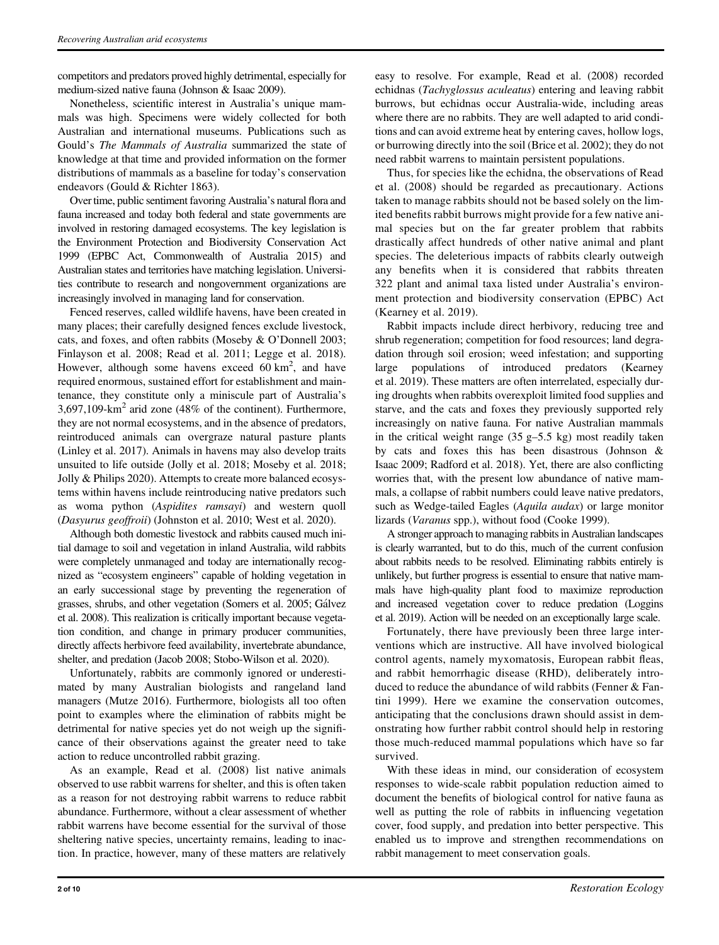competitors and predators proved highly detrimental, especially for medium-sized native fauna (Johnson & Isaac 2009).

Nonetheless, scientific interest in Australia's unique mammals was high. Specimens were widely collected for both Australian and international museums. Publications such as Gould's The Mammals of Australia summarized the state of knowledge at that time and provided information on the former distributions of mammals as a baseline for today's conservation endeavors (Gould & Richter 1863).

Over time, public sentiment favoring Australia's natural flora and fauna increased and today both federal and state governments are involved in restoring damaged ecosystems. The key legislation is the Environment Protection and Biodiversity Conservation Act 1999 (EPBC Act, Commonwealth of Australia 2015) and Australian states and territories have matching legislation. Universities contribute to research and nongovernment organizations are increasingly involved in managing land for conservation.

Fenced reserves, called wildlife havens, have been created in many places; their carefully designed fences exclude livestock, cats, and foxes, and often rabbits (Moseby & O'Donnell 2003; Finlayson et al. 2008; Read et al. 2011; Legge et al. 2018). However, although some havens exceed  $60 \text{ km}^2$ , and have required enormous, sustained effort for establishment and maintenance, they constitute only a miniscule part of Australia's  $3,697,109$ -km<sup>2</sup> arid zone (48% of the continent). Furthermore, they are not normal ecosystems, and in the absence of predators, reintroduced animals can overgraze natural pasture plants (Linley et al. 2017). Animals in havens may also develop traits unsuited to life outside (Jolly et al. 2018; Moseby et al. 2018; Jolly & Philips 2020). Attempts to create more balanced ecosystems within havens include reintroducing native predators such as woma python (Aspidites ramsayi) and western quoll (Dasyurus geoffroii) (Johnston et al. 2010; West et al. 2020).

Although both domestic livestock and rabbits caused much initial damage to soil and vegetation in inland Australia, wild rabbits were completely unmanaged and today are internationally recognized as "ecosystem engineers" capable of holding vegetation in an early successional stage by preventing the regeneration of grasses, shrubs, and other vegetation (Somers et al. 2005; Galvez et al. 2008). This realization is critically important because vegetation condition, and change in primary producer communities, directly affects herbivore feed availability, invertebrate abundance, shelter, and predation (Jacob 2008; Stobo-Wilson et al. 2020).

Unfortunately, rabbits are commonly ignored or underestimated by many Australian biologists and rangeland land managers (Mutze 2016). Furthermore, biologists all too often point to examples where the elimination of rabbits might be detrimental for native species yet do not weigh up the significance of their observations against the greater need to take action to reduce uncontrolled rabbit grazing.

As an example, Read et al. (2008) list native animals observed to use rabbit warrens for shelter, and this is often taken as a reason for not destroying rabbit warrens to reduce rabbit abundance. Furthermore, without a clear assessment of whether rabbit warrens have become essential for the survival of those sheltering native species, uncertainty remains, leading to inaction. In practice, however, many of these matters are relatively easy to resolve. For example, Read et al. (2008) recorded echidnas (Tachyglossus aculeatus) entering and leaving rabbit burrows, but echidnas occur Australia-wide, including areas where there are no rabbits. They are well adapted to arid conditions and can avoid extreme heat by entering caves, hollow logs, or burrowing directly into the soil (Brice et al. 2002); they do not need rabbit warrens to maintain persistent populations.

Thus, for species like the echidna, the observations of Read et al. (2008) should be regarded as precautionary. Actions taken to manage rabbits should not be based solely on the limited benefits rabbit burrows might provide for a few native animal species but on the far greater problem that rabbits drastically affect hundreds of other native animal and plant species. The deleterious impacts of rabbits clearly outweigh any benefits when it is considered that rabbits threaten 322 plant and animal taxa listed under Australia's environment protection and biodiversity conservation (EPBC) Act (Kearney et al. 2019).

Rabbit impacts include direct herbivory, reducing tree and shrub regeneration; competition for food resources; land degradation through soil erosion; weed infestation; and supporting large populations of introduced predators (Kearney et al. 2019). These matters are often interrelated, especially during droughts when rabbits overexploit limited food supplies and starve, and the cats and foxes they previously supported rely increasingly on native fauna. For native Australian mammals in the critical weight range  $(35 g-5.5 kg)$  most readily taken by cats and foxes this has been disastrous (Johnson & Isaac 2009; Radford et al. 2018). Yet, there are also conflicting worries that, with the present low abundance of native mammals, a collapse of rabbit numbers could leave native predators, such as Wedge-tailed Eagles (*Aquila audax*) or large monitor lizards (Varanus spp.), without food (Cooke 1999).

A stronger approach to managing rabbits in Australian landscapes is clearly warranted, but to do this, much of the current confusion about rabbits needs to be resolved. Eliminating rabbits entirely is unlikely, but further progress is essential to ensure that native mammals have high-quality plant food to maximize reproduction and increased vegetation cover to reduce predation (Loggins et al. 2019). Action will be needed on an exceptionally large scale.

Fortunately, there have previously been three large interventions which are instructive. All have involved biological control agents, namely myxomatosis, European rabbit fleas, and rabbit hemorrhagic disease (RHD), deliberately introduced to reduce the abundance of wild rabbits (Fenner & Fantini 1999). Here we examine the conservation outcomes, anticipating that the conclusions drawn should assist in demonstrating how further rabbit control should help in restoring those much-reduced mammal populations which have so far survived.

With these ideas in mind, our consideration of ecosystem responses to wide-scale rabbit population reduction aimed to document the benefits of biological control for native fauna as well as putting the role of rabbits in influencing vegetation cover, food supply, and predation into better perspective. This enabled us to improve and strengthen recommendations on rabbit management to meet conservation goals.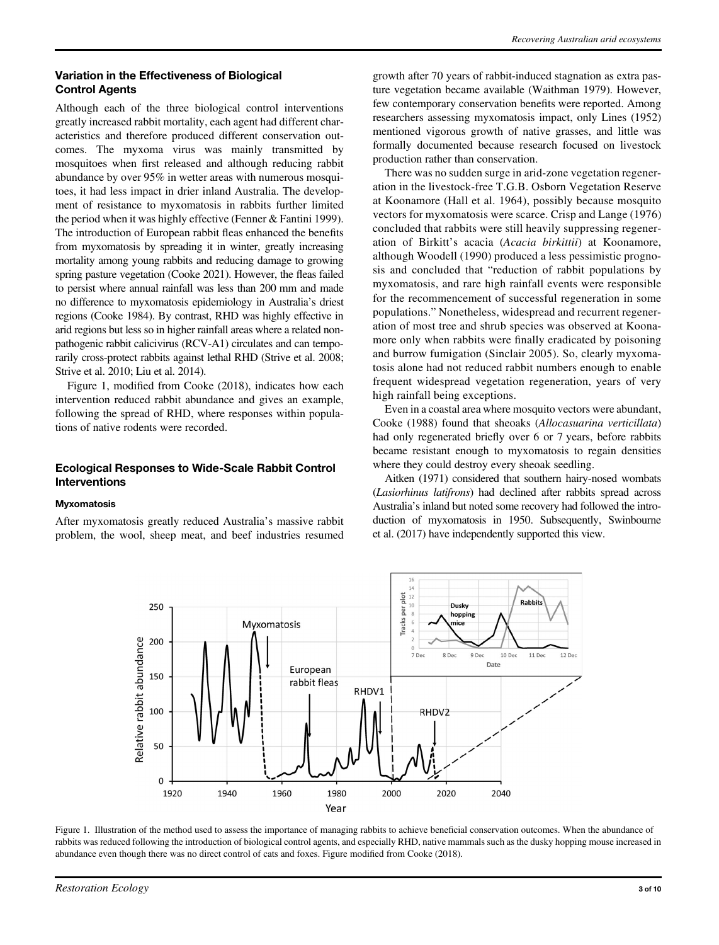## Variation in the Effectiveness of Biological Control Agents

Although each of the three biological control interventions greatly increased rabbit mortality, each agent had different characteristics and therefore produced different conservation outcomes. The myxoma virus was mainly transmitted by mosquitoes when first released and although reducing rabbit abundance by over 95% in wetter areas with numerous mosquitoes, it had less impact in drier inland Australia. The development of resistance to myxomatosis in rabbits further limited the period when it was highly effective (Fenner & Fantini 1999). The introduction of European rabbit fleas enhanced the benefits from myxomatosis by spreading it in winter, greatly increasing mortality among young rabbits and reducing damage to growing spring pasture vegetation (Cooke 2021). However, the fleas failed to persist where annual rainfall was less than 200 mm and made no difference to myxomatosis epidemiology in Australia's driest regions (Cooke 1984). By contrast, RHD was highly effective in arid regions but less so in higher rainfall areas where a related nonpathogenic rabbit calicivirus (RCV-A1) circulates and can temporarily cross-protect rabbits against lethal RHD (Strive et al. 2008; Strive et al. 2010; Liu et al. 2014).

Figure 1, modified from Cooke (2018), indicates how each intervention reduced rabbit abundance and gives an example, following the spread of RHD, where responses within populations of native rodents were recorded.

# Ecological Responses to Wide-Scale Rabbit Control Interventions

#### **Myxomatosis**

After myxomatosis greatly reduced Australia's massive rabbit problem, the wool, sheep meat, and beef industries resumed growth after 70 years of rabbit-induced stagnation as extra pasture vegetation became available (Waithman 1979). However, few contemporary conservation benefits were reported. Among researchers assessing myxomatosis impact, only Lines (1952) mentioned vigorous growth of native grasses, and little was formally documented because research focused on livestock production rather than conservation.

There was no sudden surge in arid-zone vegetation regeneration in the livestock-free T.G.B. Osborn Vegetation Reserve at Koonamore (Hall et al. 1964), possibly because mosquito vectors for myxomatosis were scarce. Crisp and Lange (1976) concluded that rabbits were still heavily suppressing regeneration of Birkitt's acacia (Acacia birkittii) at Koonamore, although Woodell (1990) produced a less pessimistic prognosis and concluded that "reduction of rabbit populations by myxomatosis, and rare high rainfall events were responsible for the recommencement of successful regeneration in some populations." Nonetheless, widespread and recurrent regeneration of most tree and shrub species was observed at Koonamore only when rabbits were finally eradicated by poisoning and burrow fumigation (Sinclair 2005). So, clearly myxomatosis alone had not reduced rabbit numbers enough to enable frequent widespread vegetation regeneration, years of very high rainfall being exceptions.

Even in a coastal area where mosquito vectors were abundant, Cooke (1988) found that sheoaks (Allocasuarina verticillata) had only regenerated briefly over 6 or 7 years, before rabbits became resistant enough to myxomatosis to regain densities where they could destroy every sheoak seedling.

Aitken (1971) considered that southern hairy-nosed wombats (Lasiorhinus latifrons) had declined after rabbits spread across Australia's inland but noted some recovery had followed the introduction of myxomatosis in 1950. Subsequently, Swinbourne et al. (2017) have independently supported this view.



Figure 1. Illustration of the method used to assess the importance of managing rabbits to achieve beneficial conservation outcomes. When the abundance of rabbits was reduced following the introduction of biological control agents, and especially RHD, native mammals such as the dusky hopping mouse increased in abundance even though there was no direct control of cats and foxes. Figure modified from Cooke (2018).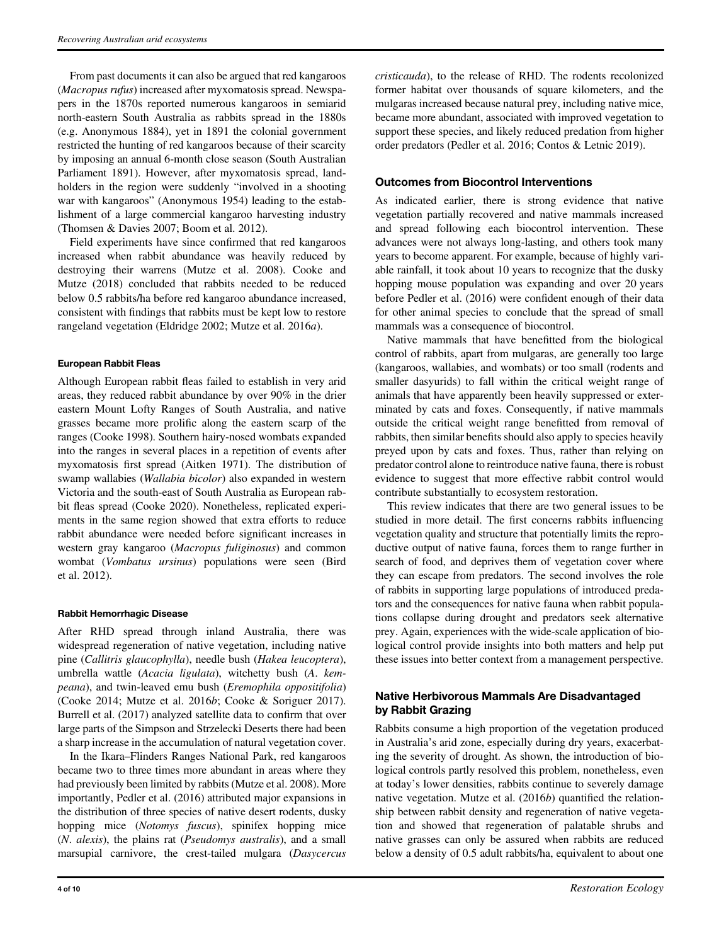From past documents it can also be argued that red kangaroos (Macropus rufus) increased after myxomatosis spread. Newspapers in the 1870s reported numerous kangaroos in semiarid north-eastern South Australia as rabbits spread in the 1880s (e.g. Anonymous 1884), yet in 1891 the colonial government restricted the hunting of red kangaroos because of their scarcity by imposing an annual 6-month close season (South Australian Parliament 1891). However, after myxomatosis spread, landholders in the region were suddenly "involved in a shooting war with kangaroos" (Anonymous 1954) leading to the establishment of a large commercial kangaroo harvesting industry (Thomsen & Davies 2007; Boom et al. 2012).

Field experiments have since confirmed that red kangaroos increased when rabbit abundance was heavily reduced by destroying their warrens (Mutze et al. 2008). Cooke and Mutze (2018) concluded that rabbits needed to be reduced below 0.5 rabbits/ha before red kangaroo abundance increased, consistent with findings that rabbits must be kept low to restore rangeland vegetation (Eldridge 2002; Mutze et al. 2016a).

### European Rabbit Fleas

Although European rabbit fleas failed to establish in very arid areas, they reduced rabbit abundance by over 90% in the drier eastern Mount Lofty Ranges of South Australia, and native grasses became more prolific along the eastern scarp of the ranges (Cooke 1998). Southern hairy-nosed wombats expanded into the ranges in several places in a repetition of events after myxomatosis first spread (Aitken 1971). The distribution of swamp wallabies (Wallabia bicolor) also expanded in western Victoria and the south-east of South Australia as European rabbit fleas spread (Cooke 2020). Nonetheless, replicated experiments in the same region showed that extra efforts to reduce rabbit abundance were needed before significant increases in western gray kangaroo (Macropus fuliginosus) and common wombat (Vombatus ursinus) populations were seen (Bird et al. 2012).

#### Rabbit Hemorrhagic Disease

After RHD spread through inland Australia, there was widespread regeneration of native vegetation, including native pine (Callitris glaucophylla), needle bush (Hakea leucoptera), umbrella wattle (Acacia ligulata), witchetty bush (A. kempeana), and twin-leaved emu bush (Eremophila oppositifolia) (Cooke 2014; Mutze et al. 2016b; Cooke & Soriguer 2017). Burrell et al. (2017) analyzed satellite data to confirm that over large parts of the Simpson and Strzelecki Deserts there had been a sharp increase in the accumulation of natural vegetation cover.

In the Ikara–Flinders Ranges National Park, red kangaroos became two to three times more abundant in areas where they had previously been limited by rabbits (Mutze et al. 2008). More importantly, Pedler et al. (2016) attributed major expansions in the distribution of three species of native desert rodents, dusky hopping mice (Notomys fuscus), spinifex hopping mice (N. alexis), the plains rat (Pseudomys australis), and a small marsupial carnivore, the crest-tailed mulgara (Dasycercus

cristicauda), to the release of RHD. The rodents recolonized former habitat over thousands of square kilometers, and the mulgaras increased because natural prey, including native mice, became more abundant, associated with improved vegetation to support these species, and likely reduced predation from higher order predators (Pedler et al. 2016; Contos & Letnic 2019).

## Outcomes from Biocontrol Interventions

As indicated earlier, there is strong evidence that native vegetation partially recovered and native mammals increased and spread following each biocontrol intervention. These advances were not always long-lasting, and others took many years to become apparent. For example, because of highly variable rainfall, it took about 10 years to recognize that the dusky hopping mouse population was expanding and over 20 years before Pedler et al. (2016) were confident enough of their data for other animal species to conclude that the spread of small mammals was a consequence of biocontrol.

Native mammals that have benefitted from the biological control of rabbits, apart from mulgaras, are generally too large (kangaroos, wallabies, and wombats) or too small (rodents and smaller dasyurids) to fall within the critical weight range of animals that have apparently been heavily suppressed or exterminated by cats and foxes. Consequently, if native mammals outside the critical weight range benefitted from removal of rabbits, then similar benefits should also apply to species heavily preyed upon by cats and foxes. Thus, rather than relying on predator control alone to reintroduce native fauna, there is robust evidence to suggest that more effective rabbit control would contribute substantially to ecosystem restoration.

This review indicates that there are two general issues to be studied in more detail. The first concerns rabbits influencing vegetation quality and structure that potentially limits the reproductive output of native fauna, forces them to range further in search of food, and deprives them of vegetation cover where they can escape from predators. The second involves the role of rabbits in supporting large populations of introduced predators and the consequences for native fauna when rabbit populations collapse during drought and predators seek alternative prey. Again, experiences with the wide-scale application of biological control provide insights into both matters and help put these issues into better context from a management perspective.

# Native Herbivorous Mammals Are Disadvantaged by Rabbit Grazing

Rabbits consume a high proportion of the vegetation produced in Australia's arid zone, especially during dry years, exacerbating the severity of drought. As shown, the introduction of biological controls partly resolved this problem, nonetheless, even at today's lower densities, rabbits continue to severely damage native vegetation. Mutze et al. (2016b) quantified the relationship between rabbit density and regeneration of native vegetation and showed that regeneration of palatable shrubs and native grasses can only be assured when rabbits are reduced below a density of 0.5 adult rabbits/ha, equivalent to about one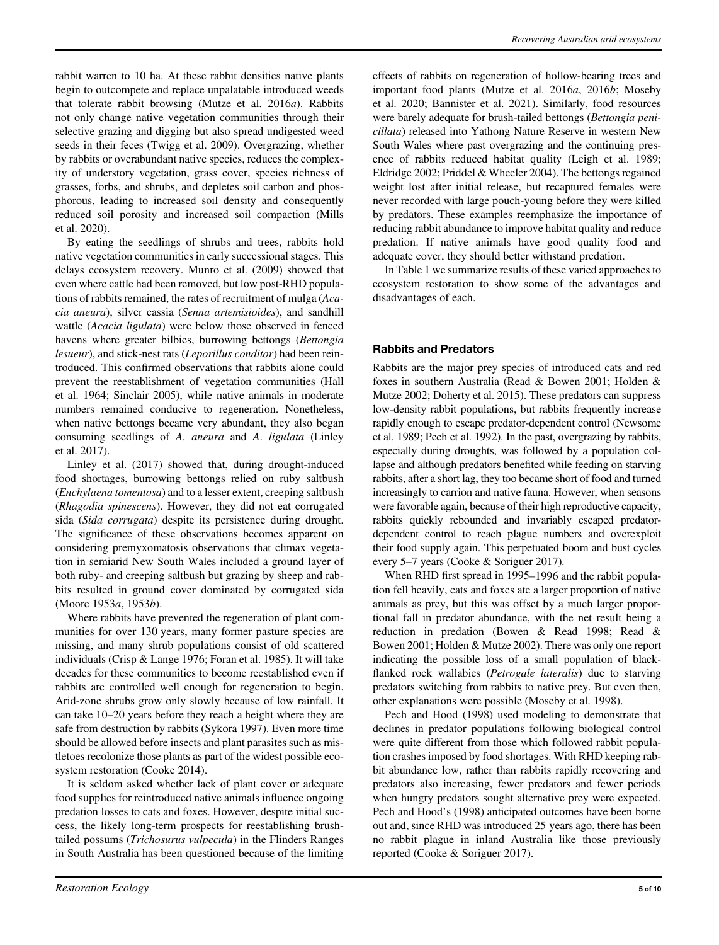rabbit warren to 10 ha. At these rabbit densities native plants begin to outcompete and replace unpalatable introduced weeds that tolerate rabbit browsing (Mutze et al. 2016a). Rabbits not only change native vegetation communities through their selective grazing and digging but also spread undigested weed seeds in their feces (Twigg et al. 2009). Overgrazing, whether by rabbits or overabundant native species, reduces the complexity of understory vegetation, grass cover, species richness of grasses, forbs, and shrubs, and depletes soil carbon and phosphorous, leading to increased soil density and consequently reduced soil porosity and increased soil compaction (Mills et al. 2020).

By eating the seedlings of shrubs and trees, rabbits hold native vegetation communities in early successional stages. This delays ecosystem recovery. Munro et al. (2009) showed that even where cattle had been removed, but low post-RHD populations of rabbits remained, the rates of recruitment of mulga (Acacia aneura), silver cassia (Senna artemisioides), and sandhill wattle (Acacia ligulata) were below those observed in fenced havens where greater bilbies, burrowing bettongs (Bettongia lesueur), and stick-nest rats (Leporillus conditor) had been reintroduced. This confirmed observations that rabbits alone could prevent the reestablishment of vegetation communities (Hall et al. 1964; Sinclair 2005), while native animals in moderate numbers remained conducive to regeneration. Nonetheless, when native bettongs became very abundant, they also began consuming seedlings of A. aneura and A. ligulata (Linley et al. 2017).

Linley et al. (2017) showed that, during drought-induced food shortages, burrowing bettongs relied on ruby saltbush (Enchylaena tomentosa) and to a lesser extent, creeping saltbush (Rhagodia spinescens). However, they did not eat corrugated sida (Sida corrugata) despite its persistence during drought. The significance of these observations becomes apparent on considering premyxomatosis observations that climax vegetation in semiarid New South Wales included a ground layer of both ruby- and creeping saltbush but grazing by sheep and rabbits resulted in ground cover dominated by corrugated sida (Moore 1953a, 1953b).

Where rabbits have prevented the regeneration of plant communities for over 130 years, many former pasture species are missing, and many shrub populations consist of old scattered individuals (Crisp & Lange 1976; Foran et al. 1985). It will take decades for these communities to become reestablished even if rabbits are controlled well enough for regeneration to begin. Arid-zone shrubs grow only slowly because of low rainfall. It can take 10–20 years before they reach a height where they are safe from destruction by rabbits (Sykora 1997). Even more time should be allowed before insects and plant parasites such as mistletoes recolonize those plants as part of the widest possible ecosystem restoration (Cooke 2014).

It is seldom asked whether lack of plant cover or adequate food supplies for reintroduced native animals influence ongoing predation losses to cats and foxes. However, despite initial success, the likely long-term prospects for reestablishing brushtailed possums (Trichosurus vulpecula) in the Flinders Ranges in South Australia has been questioned because of the limiting effects of rabbits on regeneration of hollow-bearing trees and important food plants (Mutze et al. 2016a, 2016b; Moseby et al. 2020; Bannister et al. 2021). Similarly, food resources were barely adequate for brush-tailed bettongs (Bettongia penicillata) released into Yathong Nature Reserve in western New South Wales where past overgrazing and the continuing presence of rabbits reduced habitat quality (Leigh et al. 1989; Eldridge 2002; Priddel & Wheeler 2004). The bettongs regained weight lost after initial release, but recaptured females were never recorded with large pouch-young before they were killed by predators. These examples reemphasize the importance of reducing rabbit abundance to improve habitat quality and reduce predation. If native animals have good quality food and adequate cover, they should better withstand predation.

In Table 1 we summarize results of these varied approaches to ecosystem restoration to show some of the advantages and disadvantages of each.

#### Rabbits and Predators

Rabbits are the major prey species of introduced cats and red foxes in southern Australia (Read & Bowen 2001; Holden & Mutze 2002; Doherty et al. 2015). These predators can suppress low-density rabbit populations, but rabbits frequently increase rapidly enough to escape predator-dependent control (Newsome et al. 1989; Pech et al. 1992). In the past, overgrazing by rabbits, especially during droughts, was followed by a population collapse and although predators benefited while feeding on starving rabbits, after a short lag, they too became short of food and turned increasingly to carrion and native fauna. However, when seasons were favorable again, because of their high reproductive capacity, rabbits quickly rebounded and invariably escaped predatordependent control to reach plague numbers and overexploit their food supply again. This perpetuated boom and bust cycles every 5–7 years (Cooke & Soriguer 2017).

When RHD first spread in 1995–1996 and the rabbit population fell heavily, cats and foxes ate a larger proportion of native animals as prey, but this was offset by a much larger proportional fall in predator abundance, with the net result being a reduction in predation (Bowen & Read 1998; Read & Bowen 2001; Holden & Mutze 2002). There was only one report indicating the possible loss of a small population of blackflanked rock wallabies (Petrogale lateralis) due to starving predators switching from rabbits to native prey. But even then, other explanations were possible (Moseby et al. 1998).

Pech and Hood (1998) used modeling to demonstrate that declines in predator populations following biological control were quite different from those which followed rabbit population crashes imposed by food shortages. With RHD keeping rabbit abundance low, rather than rabbits rapidly recovering and predators also increasing, fewer predators and fewer periods when hungry predators sought alternative prey were expected. Pech and Hood's (1998) anticipated outcomes have been borne out and, since RHD was introduced 25 years ago, there has been no rabbit plague in inland Australia like those previously reported (Cooke & Soriguer 2017).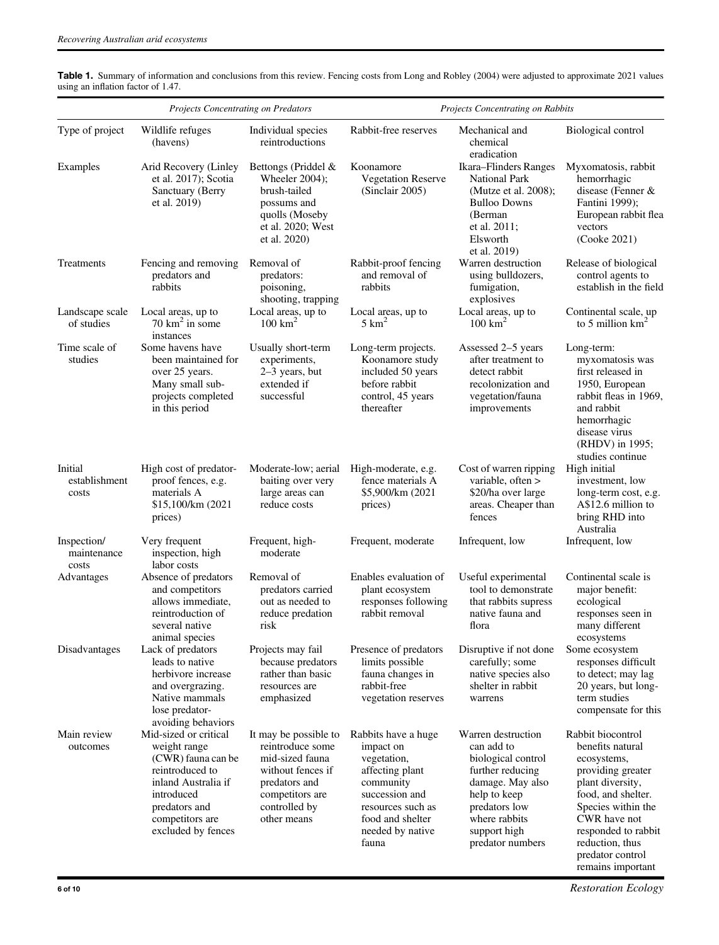|                                     | <b>Projects Concentrating on Predators</b>                                                                                                                                    |                                                                                                                                                       | Projects Concentrating on Rabbits                                                                                                                                       |                                                                                                                                                                                      |                                                                                                                                                                                                                                              |
|-------------------------------------|-------------------------------------------------------------------------------------------------------------------------------------------------------------------------------|-------------------------------------------------------------------------------------------------------------------------------------------------------|-------------------------------------------------------------------------------------------------------------------------------------------------------------------------|--------------------------------------------------------------------------------------------------------------------------------------------------------------------------------------|----------------------------------------------------------------------------------------------------------------------------------------------------------------------------------------------------------------------------------------------|
| Type of project                     | Wildlife refuges<br>(havens)                                                                                                                                                  | Individual species<br>reintroductions                                                                                                                 | Rabbit-free reserves                                                                                                                                                    | Mechanical and<br>chemical<br>eradication                                                                                                                                            | Biological control                                                                                                                                                                                                                           |
| Examples                            | Arid Recovery (Linley<br>et al. 2017); Scotia<br>Sanctuary (Berry<br>et al. 2019)                                                                                             | Bettongs (Priddel &<br>Wheeler 2004):<br>brush-tailed<br>possums and<br>quolls (Moseby<br>et al. 2020; West<br>et al. 2020)                           | Koonamore<br><b>Vegetation Reserve</b><br>(Sinclair 2005)                                                                                                               | Ikara-Flinders Ranges<br><b>National Park</b><br>(Mutze et al. 2008);<br><b>Bulloo Downs</b><br>(Berman)<br>et al. $2011$ ;<br>Elsworth<br>et al. 2019)                              | Myxomatosis, rabbit<br>hemorrhagic<br>disease (Fenner &<br>Fantini 1999);<br>European rabbit flea<br>vectors<br>(Cooke 2021)                                                                                                                 |
| Treatments                          | Fencing and removing<br>predators and<br>rabbits                                                                                                                              | Removal of<br>predators:<br>poisoning,<br>shooting, trapping                                                                                          | Rabbit-proof fencing<br>and removal of<br>rabbits                                                                                                                       | Warren destruction<br>using bulldozers,<br>fumigation,<br>explosives                                                                                                                 | Release of biological<br>control agents to<br>establish in the field                                                                                                                                                                         |
| Landscape scale<br>of studies       | Local areas, up to<br>$70 \text{ km}^2$ in some<br>instances                                                                                                                  | Local areas, up to<br>$100 \text{ km}^2$                                                                                                              | Local areas, up to<br>$5 \text{ km}^2$                                                                                                                                  | Local areas, up to<br>$100 \text{ km}^2$                                                                                                                                             | Continental scale, up<br>to 5 million $km^2$                                                                                                                                                                                                 |
| Time scale of<br>studies            | Some havens have<br>been maintained for<br>over 25 years.<br>Many small sub-<br>projects completed<br>in this period                                                          | Usually short-term<br>experiments,<br>2–3 years, but<br>extended if<br>successful                                                                     | Long-term projects.<br>Koonamore study<br>included 50 years<br>before rabbit<br>control, 45 years<br>thereafter                                                         | Assessed 2–5 years<br>after treatment to<br>detect rabbit<br>recolonization and<br>vegetation/fauna<br>improvements                                                                  | Long-term:<br>myxomatosis was<br>first released in<br>1950, European<br>rabbit fleas in 1969,<br>and rabbit<br>hemorrhagic<br>disease virus<br>(RHDV) in 1995;                                                                               |
| Initial<br>establishment<br>costs   | High cost of predator-<br>proof fences, e.g.<br>materials A<br>\$15,100/km (2021)<br>prices)                                                                                  | Moderate-low; aerial<br>baiting over very<br>large areas can<br>reduce costs                                                                          | High-moderate, e.g.<br>fence materials A<br>\$5,900/km (2021<br>prices)                                                                                                 | Cost of warren ripping<br>variable, often ><br>\$20/ha over large<br>areas. Cheaper than<br>fences                                                                                   | studies continue<br>High initial<br>investment, low<br>long-term cost, e.g.<br>A\$12.6 million to<br>bring RHD into<br>Australia                                                                                                             |
| Inspection/<br>maintenance<br>costs | Very frequent<br>inspection, high<br>labor costs                                                                                                                              | Frequent, high-<br>moderate                                                                                                                           | Frequent, moderate                                                                                                                                                      | Infrequent, low                                                                                                                                                                      | Infrequent, low                                                                                                                                                                                                                              |
| Advantages                          | Absence of predators<br>and competitors<br>allows immediate,<br>reintroduction of<br>several native<br>animal species                                                         | Removal of<br>predators carried<br>out as needed to<br>reduce predation<br>risk                                                                       | Enables evaluation of<br>plant ecosystem<br>responses following<br>rabbit removal                                                                                       | Useful experimental<br>tool to demonstrate<br>that rabbits supress<br>native fauna and<br>flora                                                                                      | Continental scale is<br>major benefit:<br>ecological<br>responses seen in<br>many different<br>ecosystems                                                                                                                                    |
| Disadvantages                       | Lack of predators<br>leads to native<br>herbivore increase<br>and overgrazing.<br>Native mammals<br>lose predator-<br>avoiding behaviors                                      | Projects may fail<br>because predators<br>rather than basic<br>resources are<br>emphasized                                                            | Presence of predators<br>limits possible<br>fauna changes in<br>rabbit-free<br>vegetation reserves                                                                      | Disruptive if not done<br>carefully; some<br>native species also<br>shelter in rabbit<br>warrens                                                                                     | Some ecosystem<br>responses difficult<br>to detect; may lag<br>20 years, but long-<br>term studies<br>compensate for this                                                                                                                    |
| Main review<br>outcomes             | Mid-sized or critical<br>weight range<br>(CWR) fauna can be<br>reintroduced to<br>inland Australia if<br>introduced<br>predators and<br>competitors are<br>excluded by fences | It may be possible to<br>reintroduce some<br>mid-sized fauna<br>without fences if<br>predators and<br>competitors are<br>controlled by<br>other means | Rabbits have a huge<br>impact on<br>vegetation,<br>affecting plant<br>community<br>succession and<br>resources such as<br>food and shelter<br>needed by native<br>fauna | Warren destruction<br>can add to<br>biological control<br>further reducing<br>damage. May also<br>help to keep<br>predators low<br>where rabbits<br>support high<br>predator numbers | Rabbit biocontrol<br>benefits natural<br>ecosystems,<br>providing greater<br>plant diversity,<br>food, and shelter.<br>Species within the<br>CWR have not<br>responded to rabbit<br>reduction, thus<br>predator control<br>remains important |

Table 1. Summary of information and conclusions from this review. Fencing costs from Long and Robley (2004) were adjusted to approximate 2021 values using an inflation factor of 1.47.

6 of 10 Restoration Ecology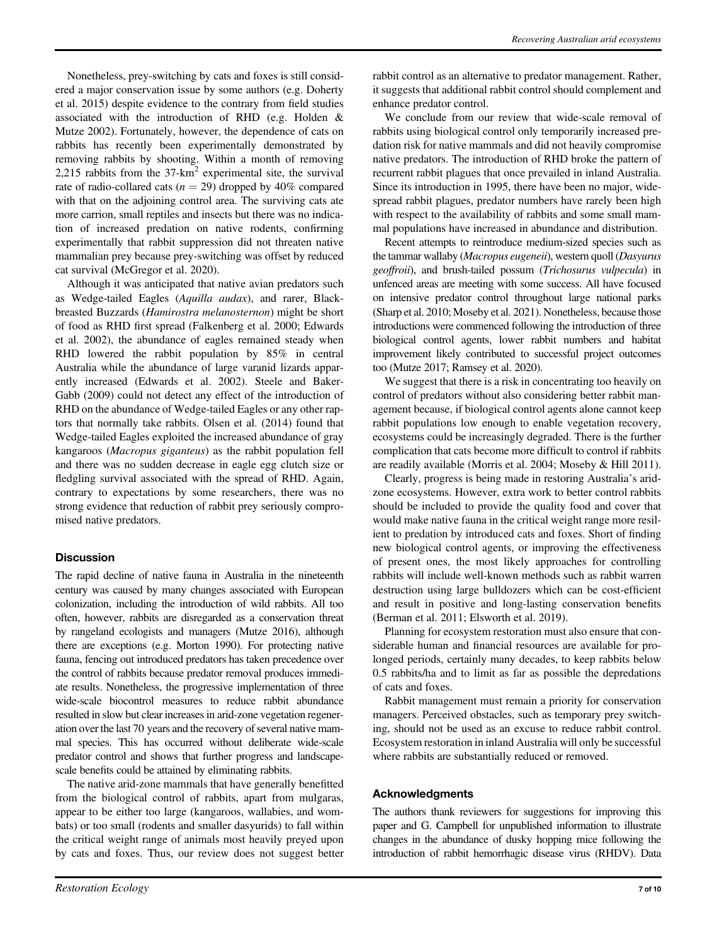Nonetheless, prey-switching by cats and foxes is still considered a major conservation issue by some authors (e.g. Doherty et al. 2015) despite evidence to the contrary from field studies associated with the introduction of RHD (e.g. Holden & Mutze 2002). Fortunately, however, the dependence of cats on rabbits has recently been experimentally demonstrated by removing rabbits by shooting. Within a month of removing 2,215 rabbits from the  $37 \text{-} \text{km}^2$  experimental site, the survival rate of radio-collared cats ( $n = 29$ ) dropped by 40% compared with that on the adjoining control area. The surviving cats ate more carrion, small reptiles and insects but there was no indication of increased predation on native rodents, confirming experimentally that rabbit suppression did not threaten native mammalian prey because prey-switching was offset by reduced cat survival (McGregor et al. 2020).

Although it was anticipated that native avian predators such as Wedge-tailed Eagles (Aquilla audax), and rarer, Blackbreasted Buzzards (Hamirostra melanosternon) might be short of food as RHD first spread (Falkenberg et al. 2000; Edwards et al. 2002), the abundance of eagles remained steady when RHD lowered the rabbit population by 85% in central Australia while the abundance of large varanid lizards apparently increased (Edwards et al. 2002). Steele and Baker-Gabb (2009) could not detect any effect of the introduction of RHD on the abundance of Wedge-tailed Eagles or any other raptors that normally take rabbits. Olsen et al. (2014) found that Wedge-tailed Eagles exploited the increased abundance of gray kangaroos (Macropus giganteus) as the rabbit population fell and there was no sudden decrease in eagle egg clutch size or fledgling survival associated with the spread of RHD. Again, contrary to expectations by some researchers, there was no strong evidence that reduction of rabbit prey seriously compromised native predators.

# **Discussion**

The rapid decline of native fauna in Australia in the nineteenth century was caused by many changes associated with European colonization, including the introduction of wild rabbits. All too often, however, rabbits are disregarded as a conservation threat by rangeland ecologists and managers (Mutze 2016), although there are exceptions (e.g. Morton 1990). For protecting native fauna, fencing out introduced predators has taken precedence over the control of rabbits because predator removal produces immediate results. Nonetheless, the progressive implementation of three wide-scale biocontrol measures to reduce rabbit abundance resulted in slow but clear increases in arid-zone vegetation regeneration over the last 70 years and the recovery of several native mammal species. This has occurred without deliberate wide-scale predator control and shows that further progress and landscapescale benefits could be attained by eliminating rabbits.

The native arid-zone mammals that have generally benefitted from the biological control of rabbits, apart from mulgaras, appear to be either too large (kangaroos, wallabies, and wombats) or too small (rodents and smaller dasyurids) to fall within the critical weight range of animals most heavily preyed upon by cats and foxes. Thus, our review does not suggest better rabbit control as an alternative to predator management. Rather, it suggests that additional rabbit control should complement and enhance predator control.

We conclude from our review that wide-scale removal of rabbits using biological control only temporarily increased predation risk for native mammals and did not heavily compromise native predators. The introduction of RHD broke the pattern of recurrent rabbit plagues that once prevailed in inland Australia. Since its introduction in 1995, there have been no major, widespread rabbit plagues, predator numbers have rarely been high with respect to the availability of rabbits and some small mammal populations have increased in abundance and distribution.

Recent attempts to reintroduce medium-sized species such as the tammar wallaby (Macropus eugeneii), western quoll (Dasyurus geoffroii), and brush-tailed possum (Trichosurus vulpecula) in unfenced areas are meeting with some success. All have focused on intensive predator control throughout large national parks (Sharp et al. 2010; Moseby et al. 2021). Nonetheless, because those introductions were commenced following the introduction of three biological control agents, lower rabbit numbers and habitat improvement likely contributed to successful project outcomes too (Mutze 2017; Ramsey et al. 2020).

We suggest that there is a risk in concentrating too heavily on control of predators without also considering better rabbit management because, if biological control agents alone cannot keep rabbit populations low enough to enable vegetation recovery, ecosystems could be increasingly degraded. There is the further complication that cats become more difficult to control if rabbits are readily available (Morris et al. 2004; Moseby & Hill 2011).

Clearly, progress is being made in restoring Australia's aridzone ecosystems. However, extra work to better control rabbits should be included to provide the quality food and cover that would make native fauna in the critical weight range more resilient to predation by introduced cats and foxes. Short of finding new biological control agents, or improving the effectiveness of present ones, the most likely approaches for controlling rabbits will include well-known methods such as rabbit warren destruction using large bulldozers which can be cost-efficient and result in positive and long-lasting conservation benefits (Berman et al. 2011; Elsworth et al. 2019).

Planning for ecosystem restoration must also ensure that considerable human and financial resources are available for prolonged periods, certainly many decades, to keep rabbits below 0.5 rabbits/ha and to limit as far as possible the depredations of cats and foxes.

Rabbit management must remain a priority for conservation managers. Perceived obstacles, such as temporary prey switching, should not be used as an excuse to reduce rabbit control. Ecosystem restoration in inland Australia will only be successful where rabbits are substantially reduced or removed.

# Acknowledgments

The authors thank reviewers for suggestions for improving this paper and G. Campbell for unpublished information to illustrate changes in the abundance of dusky hopping mice following the introduction of rabbit hemorrhagic disease virus (RHDV). Data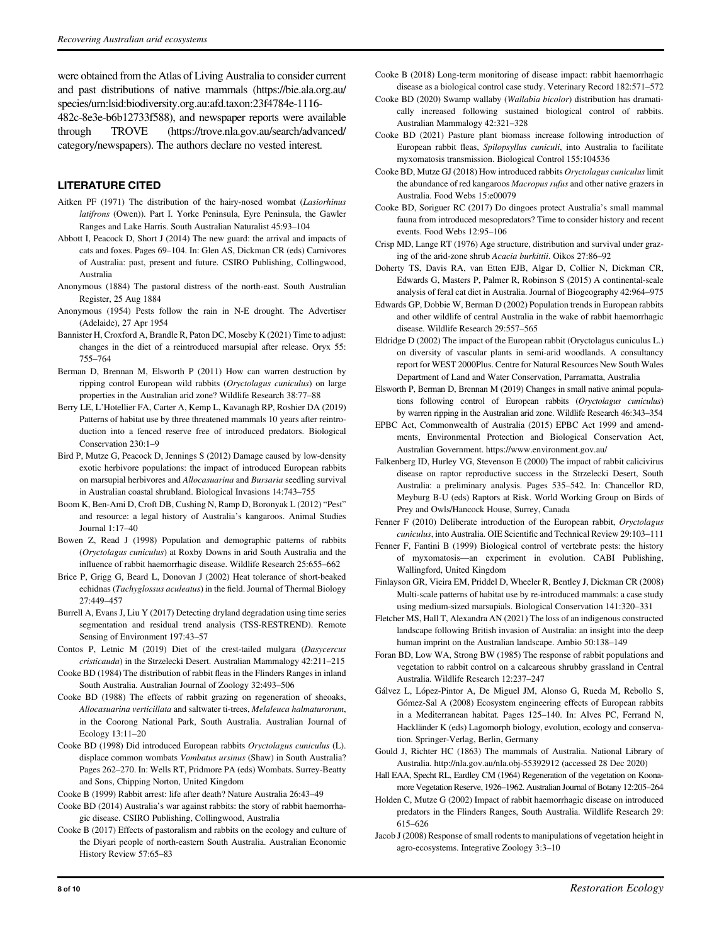were obtained from the Atlas of Living Australia to consider current and past distributions of native mammals [\(https://bie.ala.org.au/](https://bie.ala.org.au/species/urn:lsid:biodiversity.org.au:afd.taxon:23f4784e-1116-482c-8e3e-b6b12733f588) [species/urn:lsid:biodiversity.org.au:afd.taxon:23f4784e-1116-](https://bie.ala.org.au/species/urn:lsid:biodiversity.org.au:afd.taxon:23f4784e-1116-482c-8e3e-b6b12733f588)

[482c-8e3e-b6b12733f588](https://bie.ala.org.au/species/urn:lsid:biodiversity.org.au:afd.taxon:23f4784e-1116-482c-8e3e-b6b12733f588)), and newspaper reports were available through TROVE ([https://trove.nla.gov.au/search/advanced/](https://trove.nla.gov.au/search/advanced/category/newspapers) [category/newspapers](https://trove.nla.gov.au/search/advanced/category/newspapers)). The authors declare no vested interest.

# LITERATURE CITED

- Aitken PF (1971) The distribution of the hairy-nosed wombat (Lasiorhinus latifrons (Owen)). Part I. Yorke Peninsula, Eyre Peninsula, the Gawler Ranges and Lake Harris. South Australian Naturalist 45:93–104
- Abbott I, Peacock D, Short J (2014) The new guard: the arrival and impacts of cats and foxes. Pages 69–104. In: Glen AS, Dickman CR (eds) Carnivores of Australia: past, present and future. CSIRO Publishing, Collingwood, Australia
- Anonymous (1884) The pastoral distress of the north-east. South Australian Register, 25 Aug 1884
- Anonymous (1954) Pests follow the rain in N-E drought. The Advertiser (Adelaide), 27 Apr 1954
- Bannister H, Croxford A, Brandle R, Paton DC, Moseby K (2021) Time to adjust: changes in the diet of a reintroduced marsupial after release. Oryx 55: 755–764
- Berman D, Brennan M, Elsworth P (2011) How can warren destruction by ripping control European wild rabbits (Oryctolagus cuniculus) on large properties in the Australian arid zone? Wildlife Research 38:77–88
- Berry LE, L'Hotellier FA, Carter A, Kemp L, Kavanagh RP, Roshier DA (2019) Patterns of habitat use by three threatened mammals 10 years after reintroduction into a fenced reserve free of introduced predators. Biological Conservation 230:1–9
- Bird P, Mutze G, Peacock D, Jennings S (2012) Damage caused by low-density exotic herbivore populations: the impact of introduced European rabbits on marsupial herbivores and Allocasuarina and Bursaria seedling survival in Australian coastal shrubland. Biological Invasions 14:743–755
- Boom K, Ben-Ami D, Croft DB, Cushing N, Ramp D, Boronyak L (2012) "Pest" and resource: a legal history of Australia's kangaroos. Animal Studies Journal 1:17–40
- Bowen Z, Read J (1998) Population and demographic patterns of rabbits (Oryctolagus cuniculus) at Roxby Downs in arid South Australia and the influence of rabbit haemorrhagic disease. Wildlife Research 25:655–662
- Brice P, Grigg G, Beard L, Donovan J (2002) Heat tolerance of short-beaked echidnas (Tachyglossus aculeatus) in the field. Journal of Thermal Biology 27:449–457
- Burrell A, Evans J, Liu Y (2017) Detecting dryland degradation using time series segmentation and residual trend analysis (TSS-RESTREND). Remote Sensing of Environment 197:43–57
- Contos P, Letnic M (2019) Diet of the crest-tailed mulgara (Dasycercus cristicauda) in the Strzelecki Desert. Australian Mammalogy 42:211–215
- Cooke BD (1984) The distribution of rabbit fleas in the Flinders Ranges in inland South Australia. Australian Journal of Zoology 32:493–506
- Cooke BD (1988) The effects of rabbit grazing on regeneration of sheoaks, Allocasuarina verticillata and saltwater ti-trees, Melaleuca halmaturorum, in the Coorong National Park, South Australia. Australian Journal of Ecology 13:11–20
- Cooke BD (1998) Did introduced European rabbits Oryctolagus cuniculus (L). displace common wombats Vombatus ursinus (Shaw) in South Australia? Pages 262–270. In: Wells RT, Pridmore PA (eds) Wombats. Surrey-Beatty and Sons, Chipping Norton, United Kingdom

Cooke B (1999) Rabbit arrest: life after death? Nature Australia 26:43–49

- Cooke BD (2014) Australia's war against rabbits: the story of rabbit haemorrhagic disease. CSIRO Publishing, Collingwood, Australia
- Cooke B (2017) Effects of pastoralism and rabbits on the ecology and culture of the Diyari people of north-eastern South Australia. Australian Economic History Review 57:65–83
- Cooke B (2018) Long-term monitoring of disease impact: rabbit haemorrhagic disease as a biological control case study. Veterinary Record 182:571–572
- Cooke BD (2020) Swamp wallaby (Wallabia bicolor) distribution has dramatically increased following sustained biological control of rabbits. Australian Mammalogy 42:321–328
- Cooke BD (2021) Pasture plant biomass increase following introduction of European rabbit fleas, Spilopsyllus cuniculi, into Australia to facilitate myxomatosis transmission. Biological Control 155:104536
- Cooke BD, Mutze GJ (2018) How introduced rabbits Oryctolagus cuniculus limit the abundance of red kangaroos Macropus rufus and other native grazers in Australia. Food Webs 15:e00079
- Cooke BD, Soriguer RC (2017) Do dingoes protect Australia's small mammal fauna from introduced mesopredators? Time to consider history and recent events. Food Webs 12:95–106
- Crisp MD, Lange RT (1976) Age structure, distribution and survival under grazing of the arid-zone shrub Acacia burkittii. Oikos 27:86–92
- Doherty TS, Davis RA, van Etten EJB, Algar D, Collier N, Dickman CR, Edwards G, Masters P, Palmer R, Robinson S (2015) A continental-scale analysis of feral cat diet in Australia. Journal of Biogeography 42:964–975
- Edwards GP, Dobbie W, Berman D (2002) Population trends in European rabbits and other wildlife of central Australia in the wake of rabbit haemorrhagic disease. Wildlife Research 29:557–565
- Eldridge D (2002) The impact of the European rabbit (Oryctolagus cuniculus L.) on diversity of vascular plants in semi-arid woodlands. A consultancy report for WEST 2000Plus. Centre for Natural Resources New South Wales Department of Land and Water Conservation, Parramatta, Australia
- Elsworth P, Berman D, Brennan M (2019) Changes in small native animal populations following control of European rabbits (Oryctolagus cuniculus) by warren ripping in the Australian arid zone. Wildlife Research 46:343–354
- EPBC Act, Commonwealth of Australia (2015) EPBC Act 1999 and amendments, Environmental Protection and Biological Conservation Act, Australian Government.<https://www.environment.gov.au/>
- Falkenberg ID, Hurley VG, Stevenson E (2000) The impact of rabbit calicivirus disease on raptor reproductive success in the Strzelecki Desert, South Australia: a preliminary analysis. Pages 535–542. In: Chancellor RD, Meyburg B-U (eds) Raptors at Risk. World Working Group on Birds of Prey and Owls/Hancock House, Surrey, Canada
- Fenner F (2010) Deliberate introduction of the European rabbit, Oryctolagus cuniculus, into Australia. OIE Scientific and Technical Review 29:103–111
- Fenner F, Fantini B (1999) Biological control of vertebrate pests: the history of myxomatosis—an experiment in evolution. CABI Publishing, Wallingford, United Kingdom
- Finlayson GR, Vieira EM, Priddel D, Wheeler R, Bentley J, Dickman CR (2008) Multi-scale patterns of habitat use by re-introduced mammals: a case study using medium-sized marsupials. Biological Conservation 141:320–331
- Fletcher MS, Hall T, Alexandra AN (2021) The loss of an indigenous constructed landscape following British invasion of Australia: an insight into the deep human imprint on the Australian landscape. Ambio 50:138–149
- Foran BD, Low WA, Strong BW (1985) The response of rabbit populations and vegetation to rabbit control on a calcareous shrubby grassland in Central Australia. Wildlife Research 12:237–247
- Gálvez L, López-Pintor A, De Miguel JM, Alonso G, Rueda M, Rebollo S, Gómez-Sal A (2008) Ecosystem engineering effects of European rabbits in a Mediterranean habitat. Pages 125–140. In: Alves PC, Ferrand N, Hackländer K (eds) Lagomorph biology, evolution, ecology and conservation. Springer-Verlag, Berlin, Germany
- Gould J, Richter HC (1863) The mammals of Australia. National Library of Australia.<http://nla.gov.au/nla.obj-55392912> (accessed 28 Dec 2020)
- Hall EAA, Specht RL, Eardley CM (1964) Regeneration of the vegetation on Koonamore Vegetation Reserve, 1926–1962. Australian Journal of Botany 12:205–264
- Holden C, Mutze G (2002) Impact of rabbit haemorrhagic disease on introduced predators in the Flinders Ranges, South Australia. Wildlife Research 29: 615–626
- Jacob J (2008) Response of small rodents to manipulations of vegetation height in agro-ecosystems. Integrative Zoology 3:3–10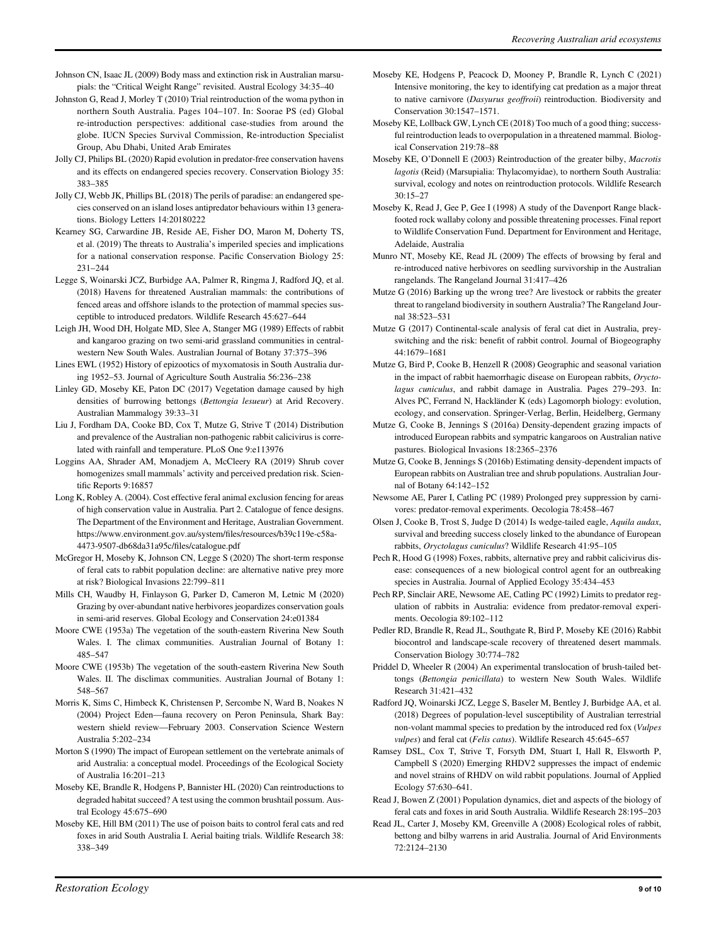- Johnson CN, Isaac JL (2009) Body mass and extinction risk in Australian marsupials: the "Critical Weight Range" revisited. Austral Ecology 34:35–40
- Johnston G, Read J, Morley T (2010) Trial reintroduction of the woma python in northern South Australia. Pages 104–107. In: Soorae PS (ed) Global re-introduction perspectives: additional case-studies from around the globe. IUCN Species Survival Commission, Re-introduction Specialist Group, Abu Dhabi, United Arab Emirates
- Jolly CJ, Philips BL (2020) Rapid evolution in predator-free conservation havens and its effects on endangered species recovery. Conservation Biology 35: 383–385
- Jolly CJ, Webb JK, Phillips BL (2018) The perils of paradise: an endangered species conserved on an island loses antipredator behaviours within 13 generations. Biology Letters 14:20180222
- Kearney SG, Carwardine JB, Reside AE, Fisher DO, Maron M, Doherty TS, et al. (2019) The threats to Australia's imperiled species and implications for a national conservation response. Pacific Conservation Biology 25: 231–244
- Legge S, Woinarski JCZ, Burbidge AA, Palmer R, Ringma J, Radford JQ, et al. (2018) Havens for threatened Australian mammals: the contributions of fenced areas and offshore islands to the protection of mammal species susceptible to introduced predators. Wildlife Research 45:627–644
- Leigh JH, Wood DH, Holgate MD, Slee A, Stanger MG (1989) Effects of rabbit and kangaroo grazing on two semi-arid grassland communities in centralwestern New South Wales. Australian Journal of Botany 37:375–396
- Lines EWL (1952) History of epizootics of myxomatosis in South Australia during 1952–53. Journal of Agriculture South Australia 56:236–238
- Linley GD, Moseby KE, Paton DC (2017) Vegetation damage caused by high densities of burrowing bettongs (Bettongia lesueur) at Arid Recovery. Australian Mammalogy 39:33–31
- Liu J, Fordham DA, Cooke BD, Cox T, Mutze G, Strive T (2014) Distribution and prevalence of the Australian non-pathogenic rabbit calicivirus is correlated with rainfall and temperature. PLoS One 9:e113976
- Loggins AA, Shrader AM, Monadjem A, McCleery RA (2019) Shrub cover homogenizes small mammals' activity and perceived predation risk. Scientific Reports 9:16857
- Long K, Robley A. (2004). Cost effective feral animal exclusion fencing for areas of high conservation value in Australia. Part 2. Catalogue of fence designs. The Department of the Environment and Heritage, Australian Government. [https://www.environment.gov.au/system/](https://www.environment.gov.au/system/files/resources/b39c119e-c58a-4473-9507-db68da31a95c/files/catalogue.pdf)files/resources/b39c119e-c58a-[4473-9507-db68da31a95c/](https://www.environment.gov.au/system/files/resources/b39c119e-c58a-4473-9507-db68da31a95c/files/catalogue.pdf)files/catalogue.pdf
- McGregor H, Moseby K, Johnson CN, Legge S (2020) The short-term response of feral cats to rabbit population decline: are alternative native prey more at risk? Biological Invasions 22:799–811
- Mills CH, Waudby H, Finlayson G, Parker D, Cameron M, Letnic M (2020) Grazing by over-abundant native herbivores jeopardizes conservation goals in semi-arid reserves. Global Ecology and Conservation 24:e01384
- Moore CWE (1953a) The vegetation of the south-eastern Riverina New South Wales. I. The climax communities. Australian Journal of Botany 1: 485–547
- Moore CWE (1953b) The vegetation of the south-eastern Riverina New South Wales. II. The disclimax communities. Australian Journal of Botany 1: 548–567
- Morris K, Sims C, Himbeck K, Christensen P, Sercombe N, Ward B, Noakes N (2004) Project Eden—fauna recovery on Peron Peninsula, Shark Bay: western shield review—February 2003. Conservation Science Western Australia 5:202–234
- Morton S (1990) The impact of European settlement on the vertebrate animals of arid Australia: a conceptual model. Proceedings of the Ecological Society of Australia 16:201–213
- Moseby KE, Brandle R, Hodgens P, Bannister HL (2020) Can reintroductions to degraded habitat succeed? A test using the common brushtail possum. Austral Ecology 45:675–690
- Moseby KE, Hill BM (2011) The use of poison baits to control feral cats and red foxes in arid South Australia I. Aerial baiting trials. Wildlife Research 38: 338–349
- Moseby KE, Hodgens P, Peacock D, Mooney P, Brandle R, Lynch C (2021) Intensive monitoring, the key to identifying cat predation as a major threat to native carnivore (Dasyurus geoffroii) reintroduction. Biodiversity and Conservation 30:1547–1571.
- Moseby KE, Lollback GW, Lynch CE (2018) Too much of a good thing; successful reintroduction leads to overpopulation in a threatened mammal. Biological Conservation 219:78–88
- Moseby KE, O'Donnell E (2003) Reintroduction of the greater bilby, Macrotis lagotis (Reid) (Marsupialia: Thylacomyidae), to northern South Australia: survival, ecology and notes on reintroduction protocols. Wildlife Research 30:15–27
- Moseby K, Read J, Gee P, Gee I (1998) A study of the Davenport Range blackfooted rock wallaby colony and possible threatening processes. Final report to Wildlife Conservation Fund. Department for Environment and Heritage, Adelaide, Australia
- Munro NT, Moseby KE, Read JL (2009) The effects of browsing by feral and re-introduced native herbivores on seedling survivorship in the Australian rangelands. The Rangeland Journal 31:417–426
- Mutze G (2016) Barking up the wrong tree? Are livestock or rabbits the greater threat to rangeland biodiversity in southern Australia? The Rangeland Journal 38:523–531
- Mutze G (2017) Continental-scale analysis of feral cat diet in Australia, preyswitching and the risk: benefit of rabbit control. Journal of Biogeography 44:1679–1681
- Mutze G, Bird P, Cooke B, Henzell R (2008) Geographic and seasonal variation in the impact of rabbit haemorrhagic disease on European rabbits, Oryctolagus cuniculus, and rabbit damage in Australia. Pages 279–293. In: Alves PC, Ferrand N, Hackländer K (eds) Lagomorph biology: evolution, ecology, and conservation. Springer-Verlag, Berlin, Heidelberg, Germany
- Mutze G, Cooke B, Jennings S (2016a) Density-dependent grazing impacts of introduced European rabbits and sympatric kangaroos on Australian native pastures. Biological Invasions 18:2365–2376
- Mutze G, Cooke B, Jennings S (2016b) Estimating density-dependent impacts of European rabbits on Australian tree and shrub populations. Australian Journal of Botany 64:142–152
- Newsome AE, Parer I, Catling PC (1989) Prolonged prey suppression by carnivores: predator-removal experiments. Oecologia 78:458–467
- Olsen J, Cooke B, Trost S, Judge D (2014) Is wedge-tailed eagle, Aquila audax, survival and breeding success closely linked to the abundance of European rabbits, Oryctolagus cuniculus? Wildlife Research 41:95–105
- Pech R, Hood G (1998) Foxes, rabbits, alternative prey and rabbit calicivirus disease: consequences of a new biological control agent for an outbreaking species in Australia. Journal of Applied Ecology 35:434–453
- Pech RP, Sinclair ARE, Newsome AE, Catling PC (1992) Limits to predator regulation of rabbits in Australia: evidence from predator-removal experiments. Oecologia 89:102–112
- Pedler RD, Brandle R, Read JL, Southgate R, Bird P, Moseby KE (2016) Rabbit biocontrol and landscape-scale recovery of threatened desert mammals. Conservation Biology 30:774–782
- Priddel D, Wheeler R (2004) An experimental translocation of brush-tailed bettongs (Bettongia penicillata) to western New South Wales. Wildlife Research 31:421–432
- Radford JQ, Woinarski JCZ, Legge S, Baseler M, Bentley J, Burbidge AA, et al. (2018) Degrees of population-level susceptibility of Australian terrestrial non-volant mammal species to predation by the introduced red fox (Vulpes vulpes) and feral cat (Felis catus). Wildlife Research 45:645–657
- Ramsey DSL, Cox T, Strive T, Forsyth DM, Stuart I, Hall R, Elsworth P, Campbell S (2020) Emerging RHDV2 suppresses the impact of endemic and novel strains of RHDV on wild rabbit populations. Journal of Applied Ecology 57:630–641.
- Read J, Bowen Z (2001) Population dynamics, diet and aspects of the biology of feral cats and foxes in arid South Australia. Wildlife Research 28:195–203
- Read JL, Carter J, Moseby KM, Greenville A (2008) Ecological roles of rabbit, bettong and bilby warrens in arid Australia. Journal of Arid Environments 72:2124–2130